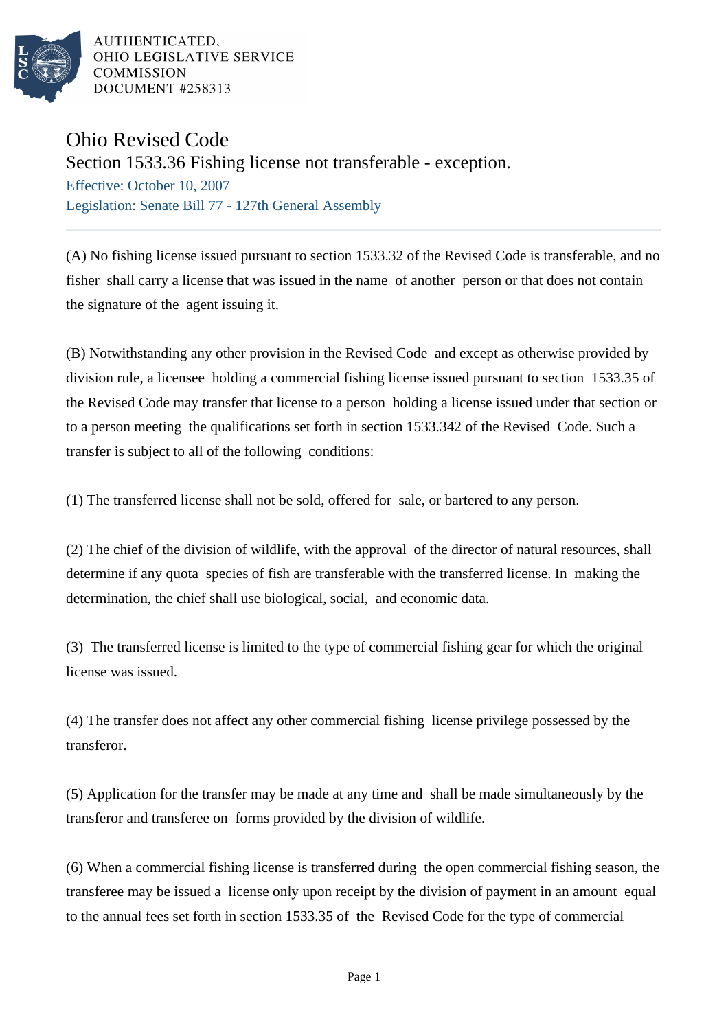

AUTHENTICATED. OHIO LEGISLATIVE SERVICE **COMMISSION** DOCUMENT #258313

## Ohio Revised Code

Section 1533.36 Fishing license not transferable - exception.

Effective: October 10, 2007 Legislation: Senate Bill 77 - 127th General Assembly

(A) No fishing license issued pursuant to section 1533.32 of the Revised Code is transferable, and no fisher shall carry a license that was issued in the name of another person or that does not contain the signature of the agent issuing it.

(B) Notwithstanding any other provision in the Revised Code and except as otherwise provided by division rule, a licensee holding a commercial fishing license issued pursuant to section 1533.35 of the Revised Code may transfer that license to a person holding a license issued under that section or to a person meeting the qualifications set forth in section 1533.342 of the Revised Code. Such a transfer is subject to all of the following conditions:

(1) The transferred license shall not be sold, offered for sale, or bartered to any person.

(2) The chief of the division of wildlife, with the approval of the director of natural resources, shall determine if any quota species of fish are transferable with the transferred license. In making the determination, the chief shall use biological, social, and economic data.

(3) The transferred license is limited to the type of commercial fishing gear for which the original license was issued.

(4) The transfer does not affect any other commercial fishing license privilege possessed by the transferor.

(5) Application for the transfer may be made at any time and shall be made simultaneously by the transferor and transferee on forms provided by the division of wildlife.

(6) When a commercial fishing license is transferred during the open commercial fishing season, the transferee may be issued a license only upon receipt by the division of payment in an amount equal to the annual fees set forth in section 1533.35 of the Revised Code for the type of commercial